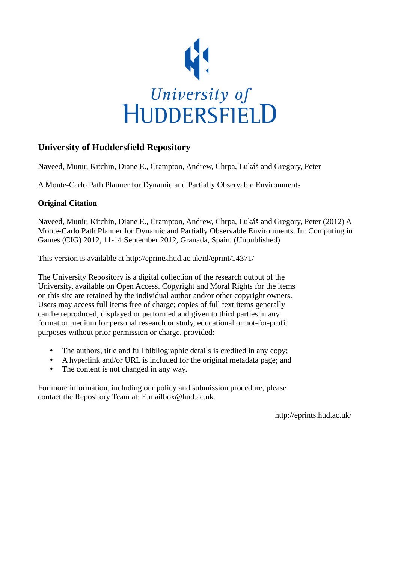

# **University of Huddersfield Repository**

Naveed, Munir, Kitchin, Diane E., Crampton, Andrew, Chrpa, Lukáš and Gregory, Peter

A Monte-Carlo Path Planner for Dynamic and Partially Observable Environments

## **Original Citation**

Naveed, Munir, Kitchin, Diane E., Crampton, Andrew, Chrpa, Lukáš and Gregory, Peter (2012) A Monte-Carlo Path Planner for Dynamic and Partially Observable Environments. In: Computing in Games (CIG) 2012, 11-14 September 2012, Granada, Spain. (Unpublished)

This version is available at http://eprints.hud.ac.uk/id/eprint/14371/

The University Repository is a digital collection of the research output of the University, available on Open Access. Copyright and Moral Rights for the items on this site are retained by the individual author and/or other copyright owners. Users may access full items free of charge; copies of full text items generally can be reproduced, displayed or performed and given to third parties in any format or medium for personal research or study, educational or not-for-profit purposes without prior permission or charge, provided:

- The authors, title and full bibliographic details is credited in any copy;
- A hyperlink and/or URL is included for the original metadata page; and
- The content is not changed in any way.

For more information, including our policy and submission procedure, please contact the Repository Team at: E.mailbox@hud.ac.uk.

http://eprints.hud.ac.uk/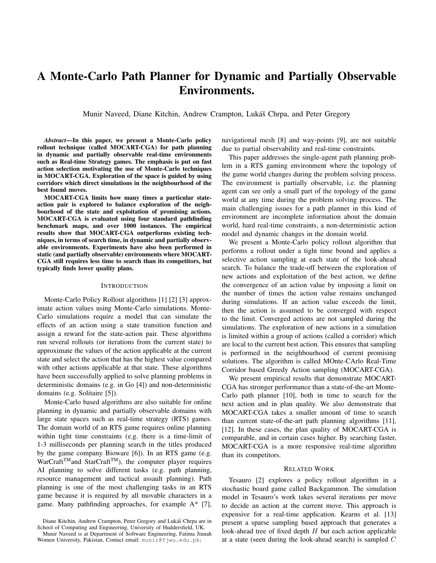# A Monte-Carlo Path Planner for Dynamic and Partially Observable Environments.

Munir Naveed, Diane Kitchin, Andrew Crampton, Lukáš Chrpa, and Peter Gregory

*Abstract*—In this paper, we present a Monte-Carlo policy rollout technique (called MOCART-CGA) for path planning in dynamic and partially observable real-time environments such as Real-time Strategy games. The emphasis is put on fast action selection motivating the use of Monte-Carlo techniques in MOCART-CGA. Exploration of the space is guided by using corridors which direct simulations in the neighbourhood of the best found moves.

MOCART-CGA limits how many times a particular stateaction pair is explored to balance exploration of the neighbourhood of the state and exploitation of promising actions. MOCART-CGA is evaluated using four standard pathfinding benchmark maps, and over 1000 instances. The empirical results show that MOCART-CGA outperforms existing techniques, in terms of search time, in dynamic and partially observable environments. Experiments have also been performed in static (and partially observable) environments where MOCART-CGA still requires less time to search than its competitors, but typically finds lower quality plans.

#### INTRODUCTION

Monte-Carlo Policy Rollout algorithms [1] [2] [3] approximate action values using Monte-Carlo simulations. Monte-Carlo simulations require a model that can simulate the effects of an action using a state transition function and assign a reward for the state-action pair. These algorithms run several rollouts (or iterations from the current state) to approximate the values of the action applicable at the current state and select the action that has the highest value compared with other actions applicable at that state. These algorithms have been successfully applied to solve planning problems in deterministic domains (e.g. in Go [4]) and non-deterministic domains (e.g. Solitaire [5]).

Monte-Carlo based algorithms are also suitable for online planning in dynamic and partially observable domains with large state spaces such as real-time strategy (RTS) games. The domain world of an RTS game requires online planning within tight time constraints (e.g. there is a time-limit of 1-3 milliseconds per planning search in the titles produced by the game company Bioware [6]). In an RTS game (e.g.  $WarCraff<sup>TM</sup>$  and StarCraft<sup>TM</sup>), the computer player requires AI planning to solve different tasks (e.g. path planning, resource management and tactical assault planning). Path planning is one of the most challenging tasks in an RTS game because it is required by all movable characters in a game. Many pathfinding approaches, for example A\* [7],

navigational mesh [8] and way-points [9], are not suitable due to partial observability and real-time constraints.

This paper addresses the single-agent path planning problem in a RTS gaming environment where the topology of the game world changes during the problem solving process. The environment is partially observable, i.e. the planning agent can see only a small part of the topology of the game world at any time during the problem solving process. The main challenging issues for a path planner in this kind of environment are incomplete information about the domain world, hard real-time constraints, a non-deterministic action model and dynamic changes in the domain world.

We present a Monte-Carlo policy rollout algorithm that performs a rollout under a tight time bound and applies a selective action sampling at each state of the look-ahead search. To balance the trade-off between the exploration of new actions and exploitation of the best action, we define the convergence of an action value by imposing a limit on the number of times the action value remains unchanged during simulations. If an action value exceeds the limit, then the action is assumed to be converged with respect to the limit. Converged actions are not sampled during the simulations. The exploration of new actions in a simulation is limited within a group of actions (called a corridor) which are local to the current best action. This ensures that sampling is performed in the neighbourhood of current promising solutions. The algorithm is called MOnte-CArlo Real-Time Corridor based Greedy Action sampling (MOCART-CGA).

We present empirical results that demonstrate MOCART-CGA has stronger performance than a state-of-the-art Monte-Carlo path planner [10], both in time to search for the next action and in plan quality. We also demonstrate that MOCART-CGA takes a smaller amount of time to search than current state-of-the-art path planning algorithms [11], [12]. In these cases, the plan quality of MOCART-CGA is comparable, and in certain cases higher. By searching faster, MOCART-CGA is a more responsive real-time algorithm than its competitors.

#### RELATED WORK

Tesauro [2] explores a policy rollout algorithm in a stochastic board game called Backgammon. The simulation model in Tesauro's work takes several iterations per move to decide an action at the current move. This approach is expensive for a real-time application. Kearns et al. [13] present a sparse sampling based approach that generates a look-ahead tree of fixed depth  $H$  but each action applicable at a state (seen during the look-ahead search) is sampled  $C$ 

Diane Kitchin, Andrew Crampton, Peter Gregory and Lukáš Chrpa are in School of Computing and Engineering, University of Huddersfield, UK.

Munir Naveed is at Department of Software Engineering, Fatima Jinnah Women University, Pakistan, Contact email: munir@fjwu.edu.pk;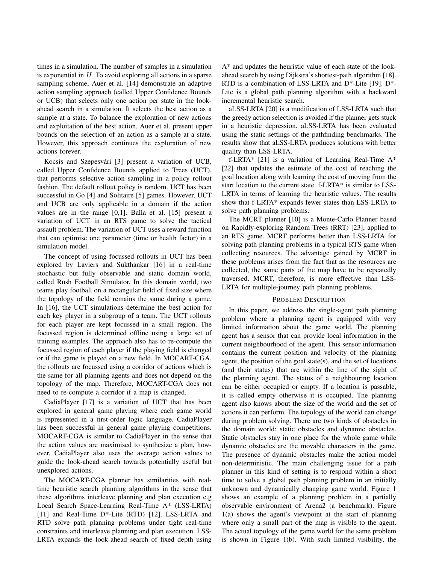times in a simulation. The number of samples in a simulation is exponential in  $H$ . To avoid exploring all actions in a sparse sampling scheme, Auer et al. [14] demonstrate an adaptive action sampling approach (called Upper Confidence Bounds or UCB) that selects only one action per state in the lookahead search in a simulation. It selects the best action as a sample at a state. To balance the exploration of new actions and exploitation of the best action, Auer et al. present upper bounds on the selection of an action as a sample at a state. However, this approach continues the exploration of new actions forever.

Kocsis and Szepesvári [3] present a variation of UCB, called Upper Confidence Bounds applied to Trees (UCT), that performs selective action sampling in a policy rollout fashion. The default rollout policy is random. UCT has been successful in Go [4] and Solitaire [5] games. However, UCT and UCB are only applicable in a domain if the action values are in the range [0,1]. Balla et al. [15] present a variation of UCT in an RTS game to solve the tactical assault problem. The variation of UCT uses a reward function that can optimise one parameter (time or health factor) in a simulation model.

The concept of using focussed rollouts in UCT has been explored by Laviers and Sukthankar [16] in a real-time stochastic but fully observable and static domain world, called Rush Football Simulator. In this domain world, two teams play football on a rectangular field of fixed size where the topology of the field remains the same during a game. In [16], the UCT simulations determine the best action for each key player in a subgroup of a team. The UCT rollouts for each player are kept focussed in a small region. The focussed region is determined offline using a large set of training examples. The approach also has to re-compute the focussed region of each player if the playing field is changed or if the game is played on a new field. In MOCART-CGA, the rollouts are focussed using a corridor of actions which is the same for all planning agents and does not depend on the topology of the map. Therefore, MOCART-CGA does not need to re-compute a corridor if a map is changed.

CadiaPlayer [17] is a variation of UCT that has been explored in general game playing where each game world is represented in a first-order logic language. CadiaPlayer has been successful in general game playing competitions. MOCART-CGA is similar to CadiaPlayer in the sense that the action values are maximised to synthesize a plan, however, CadiaPlayer also uses the average action values to guide the look-ahead search towards potentially useful but unexplored actions.

The MOCART-CGA planner has similarities with realtime heuristic search planning algorithms in the sense that these algorithms interleave planning and plan execution e.g Local Search Space-Learning Real-Time A\* (LSS-LRTA) [11] and Real-Time D<sup>\*</sup>-Lite (RTD) [12]. LSS-LRTA and RTD solve path planning problems under tight real-time constraints and interleave planning and plan execution. LSS-LRTA expands the look-ahead search of fixed depth using

A\* and updates the heuristic value of each state of the lookahead search by using Dijkstra's shortest-path algorithm [18]. RTD is a combination of LSS-LRTA and D\*-Lite [19]. D\*- Lite is a global path planning algorithm with a backward incremental heuristic search.

aLSS-LRTA [20] is a modification of LSS-LRTA such that the greedy action selection is avoided if the planner gets stuck in a heuristic depression. aLSS-LRTA has been evaluated using the static settings of the pathfinding benchmarks. The results show that aLSS-LRTA produces solutions with better quality than LSS-LRTA.

f-LRTA\* [21] is a variation of Learning Real-Time A\* [22] that updates the estimate of the cost of reaching the goal location along with learning the cost of moving from the start location to the current state. f-LRTA\* is similar to LSS-LRTA in terms of learning the heuristic values. The results show that f-LRTA\* expands fewer states than LSS-LRTA to solve path planning problems.

The MCRT planner [10] is a Monte-Carlo Planner based on Rapidly-exploring Random Trees (RRT) [23], applied to an RTS game. MCRT performs better than LSS-LRTA for solving path planning problems in a typical RTS game when collecting resources. The advantage gained by MCRT in these problems arises from the fact that as the resources are collected, the same parts of the map have to be repeatedly traversed. MCRT, therefore, is more effective than LSS-LRTA for multiple-journey path planning problems.

#### PROBLEM DESCRIPTION

In this paper, we address the single-agent path planning problem where a planning agent is equipped with very limited information about the game world. The planning agent has a sensor that can provide local information in the current neighbourhood of the agent. This sensor information contains the current position and velocity of the planning agent, the position of the goal state(s), and the set of locations (and their status) that are within the line of the sight of the planning agent. The status of a neighbouring location can be either occupied or empty. If a location is passable, it is called empty otherwise it is occupied. The planning agent also knows about the size of the world and the set of actions it can perform. The topology of the world can change during problem solving. There are two kinds of obstacles in the domain world: static obstacles and dynamic obstacles. Static obstacles stay in one place for the whole game while dynamic obstacles are the movable characters in the game. The presence of dynamic obstacles make the action model non-deterministic. The main challenging issue for a path planner in this kind of setting is to respond within a short time to solve a global path planning problem in an initially unknown and dynamically changing game world. Figure 1 shows an example of a planning problem in a partially observable environment of Arena2 (a benchmark). Figure 1(a) shows the agent's viewpoint at the start of planning where only a small part of the map is visible to the agent. The actual topology of the game world for the same problem is shown in Figure 1(b). With such limited visibility, the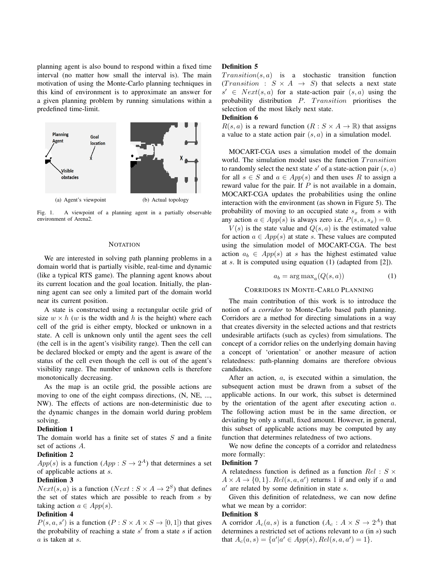planning agent is also bound to respond within a fixed time interval (no matter how small the interval is). The main motivation of using the Monte-Carlo planning techniques in this kind of environment is to approximate an answer for a given planning problem by running simulations within a predefined time-limit.



Fig. 1. A viewpoint of a planning agent in a partially observable environment of Arena2.

#### **NOTATION**

We are interested in solving path planning problems in a domain world that is partially visible, real-time and dynamic (like a typical RTS game). The planning agent knows about its current location and the goal location. Initially, the planning agent can see only a limited part of the domain world near its current position.

A state is constructed using a rectangular octile grid of size  $w \times h$  (w is the width and h is the height) where each cell of the grid is either empty, blocked or unknown in a state. A cell is unknown only until the agent sees the cell (the cell is in the agent's visibility range). Then the cell can be declared blocked or empty and the agent is aware of the status of the cell even though the cell is out of the agent's visibility range. The number of unknown cells is therefore monotonically decreasing.

As the map is an octile grid, the possible actions are moving to one of the eight compass directions, (N, NE, ..., NW). The effects of actions are non-deterministic due to the dynamic changes in the domain world during problem solving.

#### Definition 1

The domain world has a finite set of states  $S$  and a finite set of actions A.

## Definition 2

 $App(s)$  is a function  $(App : S \rightarrow 2<sup>A</sup>)$  that determines a set of applicable actions at s.

## Definition 3

 $Next(s, a)$  is a function  $(Next : S \times A \rightarrow 2^S)$  that defines the set of states which are possible to reach from  $s$  by taking action  $a \in App(s)$ .

#### Definition 4

 $P(s, a, s')$  is a function  $(P : S \times A \times S \rightarrow [0, 1])$  that gives the probability of reaching a state  $s'$  from a state  $s$  if action a is taken at s.

## Definition 5

 $Transformation(s, a)$  is a stochastic transition function (*Transition* :  $S \times A \rightarrow S$ ) that selects a next state  $s' \in Next(s, a)$  for a state-action pair  $(s, a)$  using the probability distribution  $P$ .  $Transition$  prioritises the selection of the most likely next state.

#### Definition 6

 $R(s, a)$  is a reward function  $(R : S \times A \rightarrow \mathbb{R})$  that assigns a value to a state action pair  $(s, a)$  in a simulation model.

MOCART-CGA uses a simulation model of the domain world. The simulation model uses the function  $Transformation$ to randomly select the next state  $s'$  of a state-action pair  $(s, a)$ for all  $s \in S$  and  $a \in App(s)$  and then uses R to assign a reward value for the pair. If  $P$  is not available in a domain, MOCART-CGA updates the probabilities using the online interaction with the environment (as shown in Figure 5). The probability of moving to an occupied state  $s_x$  from s with any action  $a \in App(s)$  is always zero i.e.  $P(s, a, s_x) = 0$ .

 $V(s)$  is the state value and  $Q(s, a)$  is the estimated value for action  $a \in App(s)$  at state s. These values are computed using the simulation model of MOCART-CGA. The best action  $a_b \in App(s)$  at s has the highest estimated value at s. It is computed using equation (1) (adapted from [2]).

$$
a_b = \arg \max_a (Q(s, a)) \tag{1}
$$

## CORRIDORS IN MONTE-CARLO PLANNING

The main contribution of this work is to introduce the notion of a *corridor* to Monte-Carlo based path planning. Corridors are a method for directing simulations in a way that creates diversity in the selected actions and that restricts undesirable artifacts (such as cycles) from simulations. The concept of a corridor relies on the underlying domain having a concept of 'orientation' or another measure of action relatedness: path-planning domains are therefore obvious candidates.

After an action, a, is executed within a simulation, the subsequent action must be drawn from a subset of the applicable actions. In our work, this subset is determined by the orientation of the agent after executing action a. The following action must be in the same direction, or deviating by only a small, fixed amount. However, in general, this subset of applicable actions may be computed by any function that determines relatedness of two actions.

We now define the concepts of a corridor and relatedness more formally:

#### Definition 7

A relatedness function is defined as a function  $Rel : S \times$  $A \times A \rightarrow \{0, 1\}$ .  $Rel(s, a, a')$  returns 1 if and only if a and  $a'$  are related by some definition in state  $s$ .

Given this definition of relatedness, we can now define what we mean by a corridor:

#### Definition 8

A corridor  $A_c(a, s)$  is a function  $(A_c: A \times S \rightarrow 2^A)$  that determines a restricted set of actions relevant to  $a$  (in  $s$ ) such that  $A_c(a, s) = \{a'|a' \in App(s), Rel(s, a, a') = 1\}.$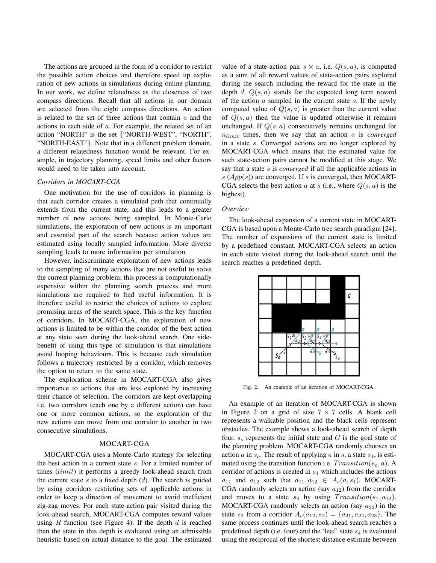The actions are grouped in the form of a corridor to restrict the possible action choices and therefore speed up exploration of new actions in simulations during online planning. In our work, we define relatedness as the closeness of two compass directions. Recall that all actions in our domain are selected from the eight compass directions. An action is related to the set of three actions that contain  $a$  and the actions to each side of a. For example, the related set of an action "NORTH" is the set {"NORTH-WEST", "NORTH", "NORTH-EAST"}. Note that in a different problem domain, a different relatedness function would be relevant. For example, in trajectory planning, speed limits and other factors would need to be taken into account.

#### *Corridors in MOCART-CGA*

One motivation for the use of corridors in planning is that each corridor creates a simulated path that continually extends from the current state, and this leads to a greater number of new actions being sampled. In Monte-Carlo simulations, the exploration of new actions is an important and essential part of the search because action values are estimated using locally sampled information. More diverse sampling leads to more information per simulation.

However, indiscriminate exploration of new actions leads to the sampling of many actions that are not useful to solve the current planning problem; this process is computationally expensive within the planning search process and more simulations are required to find useful information. It is therefore useful to restrict the choices of actions to explore promising areas of the search space. This is the key function of corridors. In MOCART-CGA, the exploration of new actions is limited to be within the corridor of the best action at any state seen during the look-ahead search. One sidebenefit of using this type of simulation is that simulations avoid looping behaviours. This is because each simulation follows a trajectory restricted by a corridor, which removes the option to return to the same state.

The exploration scheme in MOCART-CGA also gives importance to actions that are less explored by increasing their chance of selection. The corridors are kept overlapping i.e. two corridors (each one by a different action) can have one or more common actions, so the exploration of the new actions can move from one corridor to another in two consecutive simulations.

### MOCART-CGA

MOCART-CGA uses a Monte-Carlo strategy for selecting the best action in a current state s. For a limited number of times (limit) it performs a greedy look-ahead search from the current state  $s$  to a fixed depth  $(d)$ . The search is guided by using corridors restricting sets of applicable actions in order to keep a direction of movement to avoid inefficient zig-zag moves. For each state-action pair visited during the look-ahead search, MOCART-CGA computes reward values using  $R$  function (see Figure 4). If the depth  $d$  is reached then the state in this depth is evaluated using an admissible heuristic based on actual distance to the goal. The estimated

value of a state-action pair  $s \times a$ , i.e.  $Q(s, a)$ , is computed as a sum of all reward values of state-action pairs explored during the search including the reward for the state in the depth d.  $Q(s, a)$  stands for the expected long term reward of the action  $a$  sampled in the current state  $s$ . If the newly computed value of  $Q(s, a)$  is greater than the current value of  $Q(s, a)$  then the value is updated otherwise it remains unchanged. If  $Q(s, a)$  consecutively remains unchanged for  $n_{limit}$  times, then we say that an action  $\alpha$  is *converged* in a state s. Converged actions are no longer explored by MOCART-CGA which means that the estimated value for such state-action pairs cannot be modified at this stage. We say that a state s is *converged* if all the applicable actions in s  $(App(s))$  are converged. If s is converged, then MOCART-CGA selects the best action a at s (i.e., where  $Q(s, a)$  is the highest).

#### *Overview*

The look-ahead expansion of a current state in MOCART-CGA is based upon a Monte-Carlo tree search paradigm [24]. The number of expansions of the current state is limited by a predefined constant. MOCART-CGA selects an action in each state visited during the look-ahead search until the search reaches a predefined depth.

|           |                                                            |                                        |                                       |                      | G |
|-----------|------------------------------------------------------------|----------------------------------------|---------------------------------------|----------------------|---|
|           |                                                            |                                        |                                       |                      |   |
|           |                                                            |                                        |                                       | 7                    |   |
|           | $\overline{\mathsf{S}_1}$ d <sub>11</sub><br>$a_{12}$<br>ā | $\frac{d_{21}}{d_{22}}$<br>$\bar{s_2}$ | a31<br>53<br>$\frac{\lambda_{32}}{2}$ |                      |   |
| $s_0$ (3) |                                                            | $\overline{d_{23}}$                    |                                       | $\frac{1}{\sqrt{3}}$ |   |
|           |                                                            |                                        |                                       |                      |   |

Fig. 2. An example of an iteration of MOCART-CGA.

An example of an iteration of MOCART-CGA is shown in Figure 2 on a grid of size  $7 \times 7$  cells. A blank cell represents a walkable position and the black cells represent obstacles. The example shows a look-ahead search of depth four.  $s_o$  represents the initial state and  $G$  is the goal state of the planning problem. MOCART-CGA randomly chooses an action a in  $s_o$ . The result of applying a in s, a state  $s_1$ , is estimated using the transition function i.e.  $Transition(s_o, a)$ . A corridor of actions is created in  $s_1$  which includes the actions  $a_{11}$  and  $a_{12}$  such that  $a_{11}, a_{12} \in A_c(a, s_1)$ . MOCART-CGA randomly selects an action (say  $a_{12}$ ) from the corridor and moves to a state  $s_2$  by using  $Transition(s_1, a_{12})$ . MOCART-CGA randomly selects an action (say  $a_{22}$ ) in the state  $s_2$  from a corridor  $A_c(a_{12}, s_2) = \{a_{21}, a_{22}, a_{23}\}.$  The same process continues until the look-ahead search reaches a predefined depth (i.e. four) and the 'leaf' state  $s_4$  is evaluated using the reciprocal of the shortest distance estimate between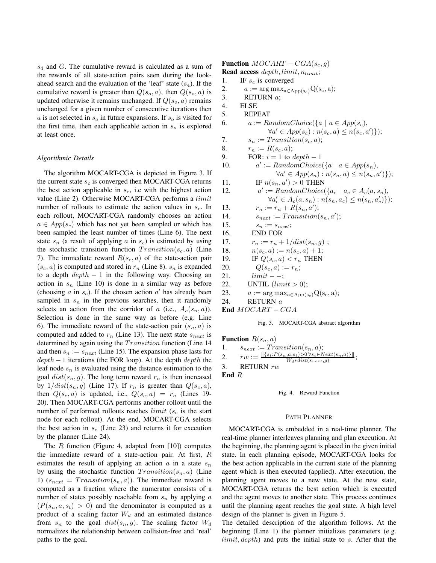$s_4$  and G. The cumulative reward is calculated as a sum of the rewards of all state-action pairs seen during the lookahead search and the evaluation of the 'leaf' state  $(s_4)$ . If the cumulative reward is greater than  $Q(s_o, a)$ , then  $Q(s_o, a)$  is updated otherwise it remains unchanged. If  $Q(s_o, a)$  remains unchanged for a given number of consecutive iterations then a is not selected in  $s_o$  in future expansions. If  $s_o$  is visited for the first time, then each applicable action in  $s<sub>o</sub>$  is explored at least once.

#### *Algorithmic Details*

The algorithm MOCART-CGA is depicted in Figure 3. If the current state  $s_c$  is converged then MOCART-CGA returns the best action applicable in  $s_c$ , i.e with the highest action value (Line 2). Otherwise MOCART-CGA performs a limit number of rollouts to estimate the action values in  $s_c$ . In each rollout, MOCART-CGA randomly chooses an action  $a \in App(s_c)$  which has not yet been sampled or which has been sampled the least number of times (Line 6). The next state  $s_n$  (a result of applying a in  $s_c$ ) is estimated by using the stochastic transition function  $Transition(s_c, a)$  (Line 7). The immediate reward  $R(s_c, a)$  of the state-action pair  $(s_c, a)$  is computed and stored in  $r_n$  (Line 8).  $s_n$  is expanded to a depth  $depth - 1$  in the following way. Choosing an action in  $s_n$  (Line 10) is done in a similar way as before (choosing  $a$  in  $s_c$ ). If the chosen action  $a'$  has already been sampled in  $s_n$  in the previous searches, then it randomly selects an action from the corridor of a (i.e.,  $A_c(s_n, a)$ ). Selection is done in the same way as before (e.g. Line 6). The immediate reward of the state-action pair  $(s_n, a)$  is computed and added to  $r_n$  (Line 13). The next state  $s_{next}$  is determined by again using the  $Transition$  function (Line 14) and then  $s_n := s_{next}$  (Line 15). The expansion phase lasts for  $depth - 1$  iterations (the FOR loop). At the depth  $depth$  the leaf node  $s_n$  is evaluated using the distance estimation to the goal  $dist(s_n, g)$ . The long term reward  $r_n$  is then increased by  $1/dist(s_n, g)$  (Line 17). If  $r_n$  is greater than  $Q(s_c, a)$ , then  $Q(s_c, a)$  is updated, i.e.,  $Q(s_c, a) = r_n$  (Lines 19-20). Then MOCART-CGA performs another rollout until the number of performed rollouts reaches  $limit(s_c)$  is the start node for each rollout). At the end, MOCART-CGA selects the best action in  $s_c$  (Line 23) and returns it for execution by the planner (Line 24).

The  $R$  function (Figure 4, adapted from [10]) computes the immediate reward of a state-action pair. At first, R estimates the result of applying an action  $a$  in a state  $s_n$ by using the stochastic function  $Transformation(s_n, a)$  (Line 1)  $(s_{next} = Transition(s_n, a))$ . The immediate reward is computed as a fraction where the numerator consists of a number of states possibly reachable from  $s_n$  by applying a  $(P(s_n, a, s_t) > 0)$  and the denominator is computed as a product of a scaling factor  $W_d$  and an estimated distance from  $s_n$  to the goal  $dist(s_n, g)$ . The scaling factor  $W_d$ normalizes the relationship between collision-free and 'real' paths to the goal.

**Function**  $MOCART - CGA(s_c, g)$ **Read access** depth,  $limit, n_{limit}$ ; 1. IF  $s_c$  is converged

```
2. a := \arg \max_{a \in \text{App}(s_c)} Q(s_c, a);<br>3. RETURN a;
       RETURN a;
4. ELSE
5. REPEAT
6. a := RandomChoice({a \mid a \in App(s_c)},\forall a' \in App(s_c) : n(s_c, a) \leq n(s_c, a')\};7. s_n := Transition(s_c, a);8. r_n := R(s_c, a);9. FOR: i = 1 to depth - 110.
             \prime := RandomChoice({a \mid a \in App(s_n)},\forall a' \in App(s_n) : n(s_n, a) \leq n(s_n, a')\};11. IF n(s_n, a') > 0 THEN
12.
             \prime := RandomChoice({a_c | a_c \in A_c(a, s_n)}),\forall a'_c \in A_c(a, s_n) : n(s_n, a_c) \leq n(s_n, a'_c) \};13. r_n := r_n + R(s_n, a');14. s_{next} := Transition(s_n, a');15. s_n := s_{next};16. END FOR
17. r_n := r_n + 1/dist(s_n, g);
18. n(s_c, a) := n(s_c, a) + 1;19. IF Q(s_c, a) < r_n THEN
20. Q(s_c, a) := r_n;21. limit --;22. UNTIL (limit > 0);23. a := \arg \max_{a \in \text{App}(s_c)} Q(s_c, a);24. RETURN a
```

```
End MOCART - CGA
```
#### Fig. 3. MOCART-CGA abstract algorithm

**Function**  $R(s_n, a)$ 

```
1. s_{next} := Transition(s_n, a);2. rw := \frac{\|\{s_t: P(s_n, a, s_t) > 0 \forall s_t \in Next(s_n, a)\}\|}{W \cdot \star dist(s_n, a)}\frac{\langle a,s_t\rangle > 0 \text{ } \forall s_t \in N \, ext(s_n,a) \} }{W_d * dist(s_{next},g)}3. RETURN rw
End R
```


#### PATH PLANNER

MOCART-CGA is embedded in a real-time planner. The real-time planner interleaves planning and plan execution. At the beginning, the planning agent is placed in the given initial state. In each planning episode, MOCART-CGA looks for the best action applicable in the current state of the planning agent which is then executed (applied). After execution, the planning agent moves to a new state. At the new state, MOCART-CGA returns the best action which is executed and the agent moves to another state. This process continues until the planning agent reaches the goal state. A high level design of the planner is given in Figure 5.

The detailed description of the algorithm follows. At the beginning (Line 1) the planner initializes parameters (e.g.  $limit, depth)$  and puts the initial state to s. After that the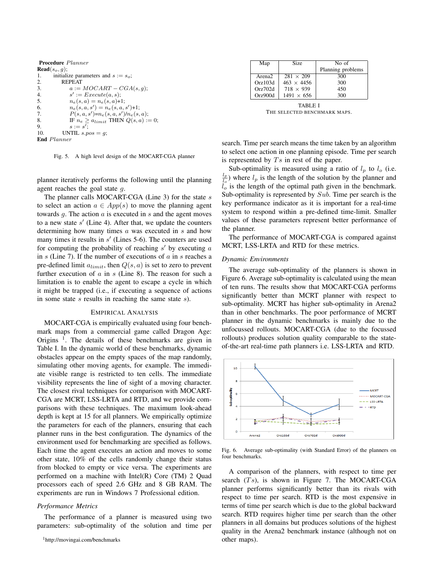| <b>Procedure</b> Planner                                     |                                            |
|--------------------------------------------------------------|--------------------------------------------|
| <b>Read</b> $(s_o, g)$ ;                                     |                                            |
| initialize parameters and $s := s_o$ ;<br>1.                 |                                            |
| <b>REPEAT</b><br>2.                                          |                                            |
| $a := MOCART - CGA(s, q);$<br>3.                             |                                            |
| $s' := Execute(a, s);$<br>$\overline{4}$ .                   |                                            |
| 5.<br>$n_e(s,a) = n_e(s,a) + 1;$                             |                                            |
| $n_e(s, a, s') = n_e(s, a, s') + 1;$<br>6.                   |                                            |
| $P(s, a, s') = n_e(s, a, s') / n_e(s, a);$<br>7 <sup>1</sup> |                                            |
| 8.                                                           | IF $n_e > a_{limit}$ THEN $Q(s, a) := 0$ ; |
| $s := s'$<br>9.                                              |                                            |
| 10.<br>UNTIL $s.pos = q$ ;                                   |                                            |
| <b>End</b> Planner                                           |                                            |

Fig. 5. A high level design of the MOCART-CGA planner

planner iteratively performs the following until the planning agent reaches the goal state  $q$ .

The planner calls MOCART-CGA (Line 3) for the state s to select an action  $a \in App(s)$  to move the planning agent towards  $q$ . The action  $a$  is executed in  $s$  and the agent moves to a new state  $s'$  (Line 4). After that, we update the counters determining how many times a was executed in s and how many times it results in  $s'$  (Lines 5-6). The counters are used for computing the probability of reaching  $s'$  by executing  $a$ in s (Line 7). If the number of executions of  $\alpha$  in s reaches a pre-defined limit  $a_{limit}$ , then  $Q(s, a)$  is set to zero to prevent further execution of  $a$  in  $s$  (Line 8). The reason for such a limitation is to enable the agent to escape a cycle in which it might be trapped (i.e., if executing a sequence of actions in some state  $s$  results in reaching the same state  $s$ ).

#### EMPIRICAL ANALYSIS

MOCART-CGA is empirically evaluated using four benchmark maps from a commercial game called Dragon Age: Origins  $1$ . The details of these benchmarks are given in Table I. In the dynamic world of these benchmarks, dynamic obstacles appear on the empty spaces of the map randomly, simulating other moving agents, for example. The immediate visible range is restricted to ten cells. The immediate visibility represents the line of sight of a moving character. The closest rival techniques for comparison with MOCART-CGA are MCRT, LSS-LRTA and RTD, and we provide comparisons with these techniques. The maximum look-ahead depth is kept at 15 for all planners. We empirically optimize the parameters for each of the planners, ensuring that each planner runs in the best configuration. The dynamics of the environment used for benchmarking are specified as follows. Each time the agent executes an action and moves to some other state, 10% of the cells randomly change their status from blocked to empty or vice versa. The experiments are performed on a machine with Intel(R) Core (TM) 2 Quad processors each of speed 2.6 GHz and 8 GB RAM. The experiments are run in Windows 7 Professional edition.

#### *Performance Metrics*

The performance of a planner is measured using two parameters: sub-optimality of the solution and time per

| Map                | Size              | No of             |  |
|--------------------|-------------------|-------------------|--|
|                    |                   | Planning problems |  |
| Arena <sub>2</sub> | $281 \times 209$  | 300               |  |
| Orz103d            | $463 \times 4456$ | 300               |  |
| Orz702d            | $718 \times 939$  | 450               |  |
| Orz900d            | $1491 \times 656$ | 300               |  |

TABLE I THE SELECTED BENCHMARK MAPS.

search. Time per search means the time taken by an algorithm to select one action in one planning episode. Time per search is represented by  $Ts$  in rest of the paper.

Sub-optimality is measured using a ratio of  $l_p$  to  $l_o$  (i.e.  $l_{p}$  $\frac{d_p}{d_o}$ ) where  $l_p$  is the length of the solution by the planner and  $l_{o}$  is the length of the optimal path given in the benchmark. Sub-optimality is represented by  $Sub$ . Time per search is the key performance indicator as it is important for a real-time system to respond within a pre-defined time-limit. Smaller values of these parameters represent better performance of the planner.

The performance of MOCART-CGA is compared against MCRT, LSS-LRTA and RTD for these metrics.

#### *Dynamic Environments*

The average sub-optimality of the planners is shown in Figure 6. Average sub-optimality is calculated using the mean of ten runs. The results show that MOCART-CGA performs significantly better than MCRT planner with respect to sub-optimality. MCRT has higher sub-optimality in Arena2 than in other benchmarks. The poor performance of MCRT planner in the dynamic benchmarks is mainly due to the unfocussed rollouts. MOCART-CGA (due to the focussed rollouts) produces solution quality comparable to the stateof-the-art real-time path planners i.e. LSS-LRTA and RTD.



Fig. 6. Average sub-optimality (with Standard Error) of the planners on four benchmarks.

A comparison of the planners, with respect to time per search  $(Ts)$ , is shown in Figure 7. The MOCART-CGA planner performs significantly better than its rivals with respect to time per search. RTD is the most expensive in terms of time per search which is due to the global backward search. RTD requires higher time per search than the other planners in all domains but produces solutions of the highest quality in the Arena2 benchmark instance (although not on other maps).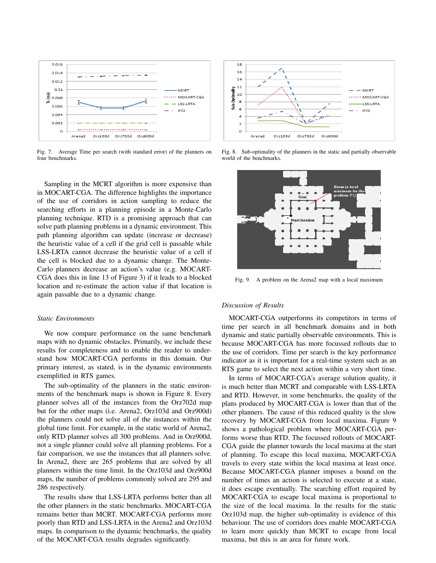

Fig. 7. Average Time per search (with standard error) of the planners on four benchmarks.

Sampling in the MCRT algorithm is more expensive than in MOCART-CGA. The difference highlights the importance of the use of corridors in action sampling to reduce the searching efforts in a planning episode in a Monte-Carlo planning technique. RTD is a promising approach that can solve path planning problems in a dynamic environment. This path planning algorithm can update (increase or decrease) the heuristic value of a cell if the grid cell is passable while LSS-LRTA cannot decrease the heuristic value of a cell if the cell is blocked due to a dynamic change. The Monte-Carlo planners decrease an action's value (e.g. MOCART-CGA does this in line 13 of Figure 3) if it leads to a blocked location and re-estimate the action value if that location is again passable due to a dynamic change.

#### *Static Environments*

We now compare performance on the same benchmark maps with no dynamic obstacles. Primarily, we include these results for completeness and to enable the reader to understand how MOCART-CGA performs in this domain. Our primary interest, as stated, is in the dynamic environments exemplified in RTS games.

The sub-optimality of the planners in the static environments of the benchmark maps is shown in Figure 8. Every planner solves all of the instances from the Orz702d map but for the other maps (i.e. Arena2, Orz103d and Orz900d) the planners could not solve all of the instances within the global time limit. For example, in the static world of Arena2, only RTD planner solves all 300 problems. And in Orz900d, not a single planner could solve all planning problems. For a fair comparison, we use the instances that all planners solve. In Arena2, there are 265 problems that are solved by all planners within the time limit. In the Orz103d and Orz900d maps, the number of problems commonly solved are 295 and 286 respectively.

The results show that LSS-LRTA performs better than all the other planners in the static benchmarks. MOCART-CGA remains better than MCRT. MOCART-CGA performs more poorly than RTD and LSS-LRTA in the Arena2 and Orz103d maps. In comparison to the dynamic benchmarks, the quality of the MOCART-CGA results degrades significantly.



Fig. 8. Sub-optimality of the planners in the static and partially observable world of the benchmarks.



Fig. 9. A problem on the Arena2 map with a local maximum

#### *Discussion of Results*

MOCART-CGA outperforms its competitors in terms of time per search in all benchmark domains and in both dynamic and static partially observable environments. This is because MOCART-CGA has more focussed rollouts due to the use of corridors. Time per search is the key performance indicator as it is important for a real-time system such as an RTS game to select the next action within a very short time.

In terms of MOCART-CGA's average solution quality, it is much better than MCRT and comparable with LSS-LRTA and RTD. However, in some benchmarks, the quality of the plans produced by MOCART-CGA is lower than that of the other planners. The cause of this reduced quality is the slow recovery by MOCART-CGA from local maxima. Figure 9 shows a pathological problem where MOCART-CGA performs worse than RTD. The focussed rollouts of MOCART-CGA guide the planner towards the local maxima at the start of planning. To escape this local maxima, MOCART-CGA travels to every state within the local maxima at least once. Because MOCART-CGA planner imposes a bound on the number of times an action is selected to execute at a state, it does escape eventually. The searching effort required by MOCART-CGA to escape local maxima is proportional to the size of the local maxima. In the results for the static Orz103d map, the higher sub-optimality is evidence of this behaviour. The use of corridors does enable MOCART-CGA to learn more quickly than MCRT to escape from local maxima, but this is an area for future work.